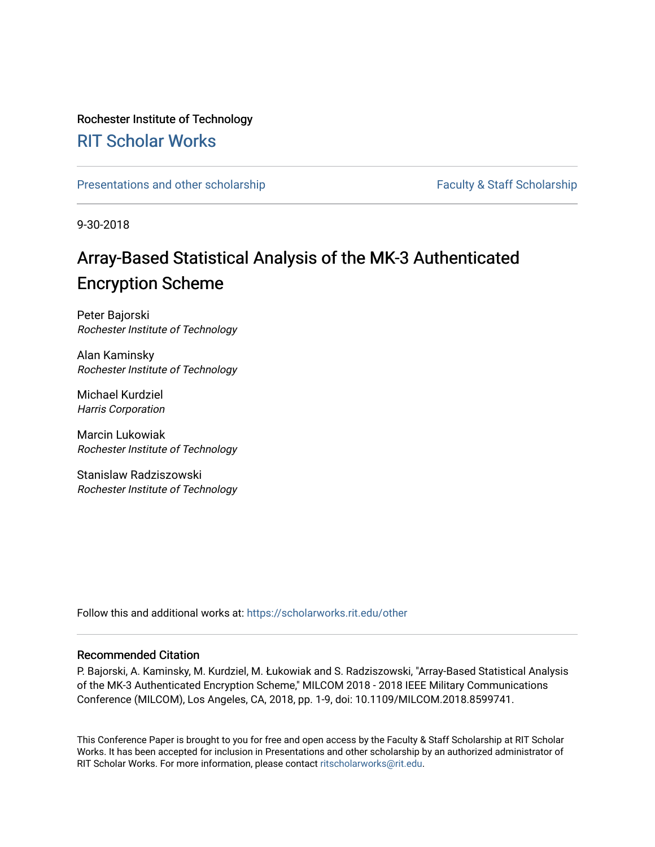## Rochester Institute of Technology

## [RIT Scholar Works](https://scholarworks.rit.edu/)

[Presentations and other scholarship](https://scholarworks.rit.edu/other) Faculty & Staff Scholarship

9-30-2018

# Array-Based Statistical Analysis of the MK-3 Authenticated Encryption Scheme

Peter Bajorski Rochester Institute of Technology

Alan Kaminsky Rochester Institute of Technology

Michael Kurdziel Harris Corporation

Marcin Lukowiak Rochester Institute of Technology

Stanislaw Radziszowski Rochester Institute of Technology

Follow this and additional works at: [https://scholarworks.rit.edu/other](https://scholarworks.rit.edu/other?utm_source=scholarworks.rit.edu%2Fother%2F954&utm_medium=PDF&utm_campaign=PDFCoverPages) 

### Recommended Citation

P. Bajorski, A. Kaminsky, M. Kurdziel, M. Łukowiak and S. Radziszowski, "Array-Based Statistical Analysis of the MK-3 Authenticated Encryption Scheme," MILCOM 2018 - 2018 IEEE Military Communications Conference (MILCOM), Los Angeles, CA, 2018, pp. 1-9, doi: 10.1109/MILCOM.2018.8599741.

This Conference Paper is brought to you for free and open access by the Faculty & Staff Scholarship at RIT Scholar Works. It has been accepted for inclusion in Presentations and other scholarship by an authorized administrator of RIT Scholar Works. For more information, please contact [ritscholarworks@rit.edu.](mailto:ritscholarworks@rit.edu)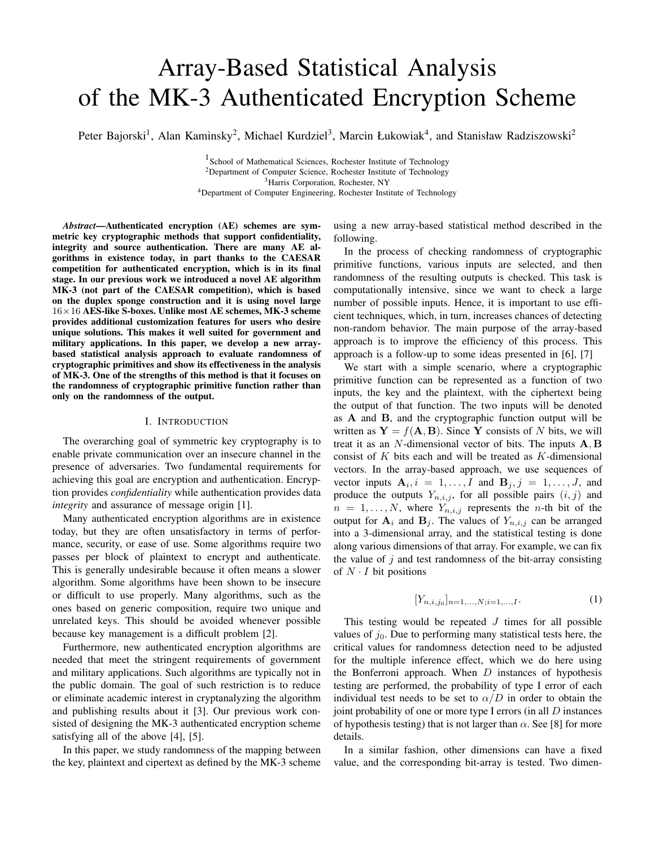# Array-Based Statistical Analysis of the MK-3 Authenticated Encryption Scheme

Peter Bajorski<sup>1</sup>, Alan Kaminsky<sup>2</sup>, Michael Kurdziel<sup>3</sup>, Marcin Łukowiak<sup>4</sup>, and Stanisław Radziszowski<sup>2</sup>

<sup>1</sup> School of Mathematical Sciences, Rochester Institute of Technology <sup>2</sup>Department of Computer Science, Rochester Institute of Technology <sup>3</sup>Harris Corporation, Rochester, NY <sup>4</sup>Department of Computer Engineering, Rochester Institute of Technology

*Abstract*—Authenticated encryption (AE) schemes are symmetric key cryptographic methods that support confidentiality, integrity and source authentication. There are many AE algorithms in existence today, in part thanks to the CAESAR competition for authenticated encryption, which is in its final stage. In our previous work we introduced a novel AE algorithm MK-3 (not part of the CAESAR competition), which is based on the duplex sponge construction and it is using novel large  $16\times16$  AES-like S-boxes. Unlike most AE schemes, MK-3 scheme provides additional customization features for users who desire unique solutions. This makes it well suited for government and military applications. In this paper, we develop a new arraybased statistical analysis approach to evaluate randomness of cryptographic primitives and show its effectiveness in the analysis of MK-3. One of the strengths of this method is that it focuses on the randomness of cryptographic primitive function rather than only on the randomness of the output.

#### I. INTRODUCTION

The overarching goal of symmetric key cryptography is to enable private communication over an insecure channel in the presence of adversaries. Two fundamental requirements for achieving this goal are encryption and authentication. Encryption provides *confidentiality* while authentication provides data *integrity* and assurance of message origin [1].

Many authenticated encryption algorithms are in existence today, but they are often unsatisfactory in terms of performance, security, or ease of use. Some algorithms require two passes per block of plaintext to encrypt and authenticate. This is generally undesirable because it often means a slower algorithm. Some algorithms have been shown to be insecure or difficult to use properly. Many algorithms, such as the ones based on generic composition, require two unique and unrelated keys. This should be avoided whenever possible because key management is a difficult problem [2].

Furthermore, new authenticated encryption algorithms are needed that meet the stringent requirements of government and military applications. Such algorithms are typically not in the public domain. The goal of such restriction is to reduce or eliminate academic interest in cryptanalyzing the algorithm and publishing results about it [3]. Our previous work consisted of designing the MK-3 authenticated encryption scheme satisfying all of the above [4], [5].

In this paper, we study randomness of the mapping between the key, plaintext and cipertext as defined by the MK-3 scheme using a new array-based statistical method described in the following.

In the process of checking randomness of cryptographic primitive functions, various inputs are selected, and then randomness of the resulting outputs is checked. This task is computationally intensive, since we want to check a large number of possible inputs. Hence, it is important to use efficient techniques, which, in turn, increases chances of detecting non-random behavior. The main purpose of the array-based approach is to improve the efficiency of this process. This approach is a follow-up to some ideas presented in [6], [7]

We start with a simple scenario, where a cryptographic primitive function can be represented as a function of two inputs, the key and the plaintext, with the ciphertext being the output of that function. The two inputs will be denoted as A and B, and the cryptographic function output will be written as  $Y = f(A, B)$ . Since Y consists of N bits, we will treat it as an N-dimensional vector of bits. The inputs A, B consist of  $K$  bits each and will be treated as  $K$ -dimensional vectors. In the array-based approach, we use sequences of vector inputs  $A_i$ ,  $i = 1, ..., I$  and  $B_j$ ,  $j = 1, ..., J$ , and produce the outputs  $Y_{n,i,j}$ , for all possible pairs  $(i, j)$  and  $n = 1, \ldots, N$ , where  $Y_{n,i,j}$  represents the *n*-th bit of the output for  $A_i$  and  $B_j$ . The values of  $Y_{n,i,j}$  can be arranged into a 3-dimensional array, and the statistical testing is done along various dimensions of that array. For example, we can fix the value of  $j$  and test randomness of the bit-array consisting of  $N \cdot I$  bit positions

$$
[Y_{n,i,j_0}]_{n=1,\ldots,N;i=1,\ldots,I}.\tag{1}
$$

This testing would be repeated  $J$  times for all possible values of  $j_0$ . Due to performing many statistical tests here, the critical values for randomness detection need to be adjusted for the multiple inference effect, which we do here using the Bonferroni approach. When  $D$  instances of hypothesis testing are performed, the probability of type I error of each individual test needs to be set to  $\alpha/D$  in order to obtain the joint probability of one or more type I errors (in all  $D$  instances of hypothesis testing) that is not larger than  $\alpha$ . See [8] for more details.

In a similar fashion, other dimensions can have a fixed value, and the corresponding bit-array is tested. Two dimen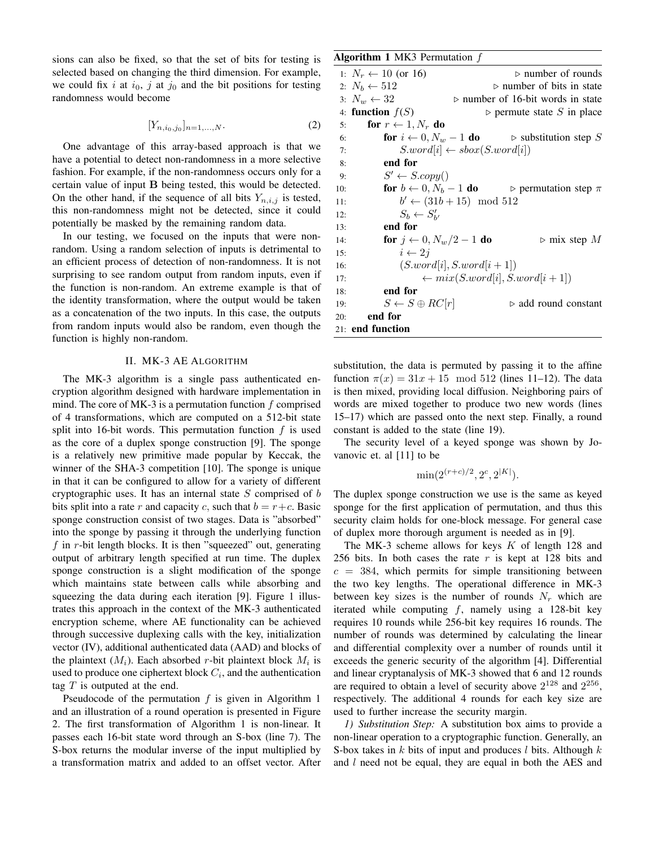sions can also be fixed, so that the set of bits for testing is selected based on changing the third dimension. For example, we could fix i at  $i_0$ , j at  $j_0$  and the bit positions for testing randomness would become

$$
[Y_{n,i_0,j_0}]_{n=1,\ldots,N}.\tag{2}
$$

One advantage of this array-based approach is that we have a potential to detect non-randomness in a more selective fashion. For example, if the non-randomness occurs only for a certain value of input B being tested, this would be detected. On the other hand, if the sequence of all bits  $Y_{n,i,j}$  is tested, this non-randomness might not be detected, since it could potentially be masked by the remaining random data.

In our testing, we focused on the inputs that were nonrandom. Using a random selection of inputs is detrimental to an efficient process of detection of non-randomness. It is not surprising to see random output from random inputs, even if the function is non-random. An extreme example is that of the identity transformation, where the output would be taken as a concatenation of the two inputs. In this case, the outputs from random inputs would also be random, even though the function is highly non-random.

#### II. MK-3 AE ALGORITHM

The MK-3 algorithm is a single pass authenticated encryption algorithm designed with hardware implementation in mind. The core of MK-3 is a permutation function  $f$  comprised of 4 transformations, which are computed on a 512-bit state split into 16-bit words. This permutation function  $f$  is used as the core of a duplex sponge construction [9]. The sponge is a relatively new primitive made popular by Keccak, the winner of the SHA-3 competition [10]. The sponge is unique in that it can be configured to allow for a variety of different cryptographic uses. It has an internal state  $S$  comprised of  $b$ bits split into a rate r and capacity c, such that  $b = r+c$ . Basic sponge construction consist of two stages. Data is "absorbed" into the sponge by passing it through the underlying function  $f$  in r-bit length blocks. It is then "squeezed" out, generating output of arbitrary length specified at run time. The duplex sponge construction is a slight modification of the sponge which maintains state between calls while absorbing and squeezing the data during each iteration [9]. Figure 1 illustrates this approach in the context of the MK-3 authenticated encryption scheme, where AE functionality can be achieved through successive duplexing calls with the key, initialization vector (IV), additional authenticated data (AAD) and blocks of the plaintext  $(M_i)$ . Each absorbed r-bit plaintext block  $M_i$  is used to produce one ciphertext block  $C_i$ , and the authentication tag  $T$  is outputed at the end.

Pseudocode of the permutation  $f$  is given in Algorithm 1 and an illustration of a round operation is presented in Figure 2. The first transformation of Algorithm 1 is non-linear. It passes each 16-bit state word through an S-box (line 7). The S-box returns the modular inverse of the input multiplied by a transformation matrix and added to an offset vector. After

| <b>Algorithm 1</b> MK3 Permutation $f$    |                                                                                     |
|-------------------------------------------|-------------------------------------------------------------------------------------|
| 1: $N_r \leftarrow 10$ (or 16)            | $\triangleright$ number of rounds                                                   |
| 2: $N_b \leftarrow 512$                   | $\triangleright$ number of bits in state                                            |
| 3: $N_w \leftarrow 32$                    | $\triangleright$ number of 16-bit words in state                                    |
| 4: function $f(S)$                        | $\triangleright$ permute state S in place                                           |
| for $r \leftarrow 1, N_r$ do<br>5:        |                                                                                     |
| 6:                                        | <b>for</b> $i \leftarrow 0, N_w - 1$ <b>do</b> $\triangleright$ substitution step S |
| 7:                                        | $S. word[i] \leftarrow sbox(S. word[i])$                                            |
| end for<br>8:                             |                                                                                     |
| $S' \leftarrow S.copy()$<br>9:            |                                                                                     |
| 10:                                       | for $b \leftarrow 0, N_b - 1$ do $\Rightarrow$ permutation step $\pi$               |
| 11:                                       | $b' \leftarrow (31b + 15) \mod 512$                                                 |
| $S_b \leftarrow S'_{b'}$<br>12:           |                                                                                     |
| end for<br>13:                            |                                                                                     |
| for $j \leftarrow 0, N_w/2 - 1$ do<br>14: | $\triangleright$ mix step M                                                         |
| $i \leftarrow 2i$<br>15:                  |                                                                                     |
| 16:                                       | $(S. word[i], S. word[i + 1])$                                                      |
| 17:                                       | $\leftarrow mix(S. word[i], S. word[i+1])$                                          |
| end for<br>18:                            |                                                                                     |
| $S \leftarrow S \oplus RC[r]$<br>19:      | $\triangleright$ add round constant                                                 |
| end for<br>20:                            |                                                                                     |
| 21: end function                          |                                                                                     |

substitution, the data is permuted by passing it to the affine function  $\pi(x) = 31x + 15 \mod 512$  (lines 11–12). The data is then mixed, providing local diffusion. Neighboring pairs of words are mixed together to produce two new words (lines 15–17) which are passed onto the next step. Finally, a round constant is added to the state (line 19).

The security level of a keyed sponge was shown by Jovanovic et. al [11] to be

$$
\min(2^{(r+c)/2}, 2^c, 2^{|K|}).
$$

The duplex sponge construction we use is the same as keyed sponge for the first application of permutation, and thus this security claim holds for one-block message. For general case of duplex more thorough argument is needed as in [9].

The MK-3 scheme allows for keys  $K$  of length 128 and 256 bits. In both cases the rate  $r$  is kept at 128 bits and  $c = 384$ , which permits for simple transitioning between the two key lengths. The operational difference in MK-3 between key sizes is the number of rounds  $N_r$  which are iterated while computing  $f$ , namely using a 128-bit key requires 10 rounds while 256-bit key requires 16 rounds. The number of rounds was determined by calculating the linear and differential complexity over a number of rounds until it exceeds the generic security of the algorithm [4]. Differential and linear cryptanalysis of MK-3 showed that 6 and 12 rounds are required to obtain a level of security above  $2^{128}$  and  $2^{256}$ , respectively. The additional 4 rounds for each key size are used to further increase the security margin.

*1) Substitution Step:* A substitution box aims to provide a non-linear operation to a cryptographic function. Generally, an S-box takes in  $k$  bits of input and produces  $l$  bits. Although  $k$ and  $l$  need not be equal, they are equal in both the AES and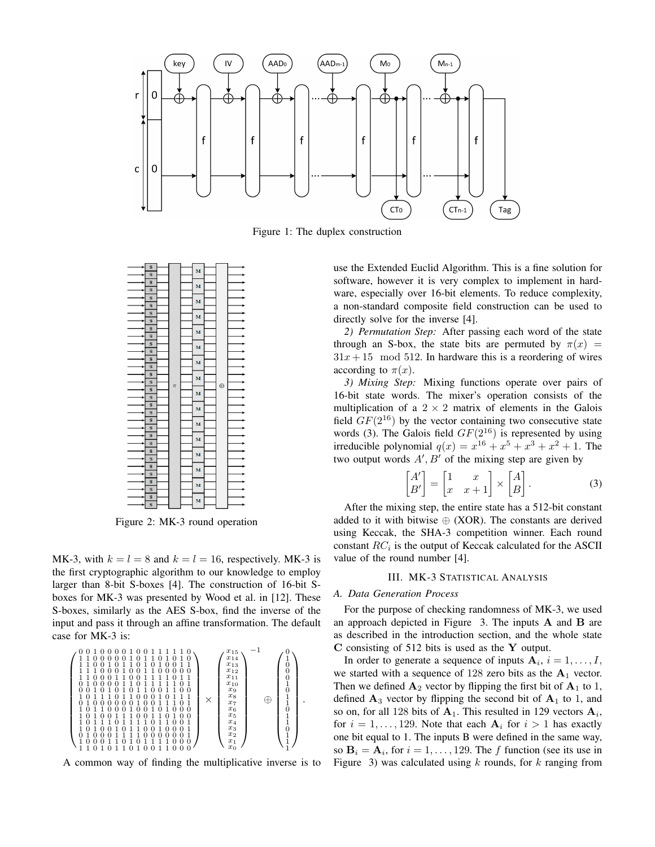

Figure 1: The duplex construction



Figure 2: MK-3 round operation

MK-3, with  $k = l = 8$  and  $k = l = 16$ , respectively. MK-3 is the first cryptographic algorithm to our knowledge to employ larger than 8-bit S-boxes [4]. The construction of 16-bit Sboxes for MK-3 was presented by Wood et al. in [12]. These S-boxes, similarly as the AES S-box, find the inverse of the input and pass it through an affine transformation. The default case for MK-3 is:

 0 0 1 0 0 0 0 1 0 0 1 1 1 1 1 0 1 1 0 0 0 0 0 1 0 1 1 0 1 0 1 0 1 1 0 0 1 0 1 1 0 1 0 1 0 0 1 1 1 1 1 0 0 0 1 0 0 1 1 0 0 0 0 0 1 1 0 0 0 1 1 0 0 1 1 1 1 0 1 1 0 1 0 0 0 0 1 1 0 1 1 1 1 1 0 1 0 0 1 0 1 0 1 0 1 1 0 0 1 1 0 0 1 0 1 1 1 0 1 1 0 0 0 1 0 1 1 1 0 1 0 0 0 0 0 0 1 0 0 1 1 1 0 1 1 0 1 1 0 0 0 1 0 0 1 0 1 0 0 0 1 0 1 0 0 1 1 1 0 0 1 1 0 1 0 0 1 0 1 1 1 0 1 1 1 1 0 1 1 0 0 1 1 0 1 0 0 1 0 1 1 0 0 1 0 0 0 1 0 1 0 0 0 1 1 1 1 0 0 0 0 0 0 1 1 0 0 0 1 1 0 1 0 1 1 1 1 0 0 0 1 1 0 1 0 1 1 0 1 0 0 1 1 0 0 0 × x15 x14 x13 x12 x11 x10 x9 x8 x7 x6 x5 x4 x3 x2 x1 x0 −1 ⊕ 0 1 0 0 0 1 0 1 1 0 1 1 0 1 1 1 .

A common way of finding the multiplicative inverse is to

use the Extended Euclid Algorithm. This is a fine solution for software, however it is very complex to implement in hardware, especially over 16-bit elements. To reduce complexity, a non-standard composite field construction can be used to directly solve for the inverse [4].

*2) Permutation Step:* After passing each word of the state through an S-box, the state bits are permuted by  $\pi(x)$  =  $31x + 15 \mod 512$ . In hardware this is a reordering of wires according to  $\pi(x)$ .

*3) Mixing Step:* Mixing functions operate over pairs of 16-bit state words. The mixer's operation consists of the multiplication of a  $2 \times 2$  matrix of elements in the Galois field  $GF(2^{16})$  by the vector containing two consecutive state words (3). The Galois field  $GF(2^{16})$  is represented by using irreducible polynomial  $q(x) = x^{16} + x^5 + x^3 + x^2 + 1$ . The two output words  $A'$ ,  $B'$  of the mixing step are given by

$$
\begin{bmatrix} A' \\ B' \end{bmatrix} = \begin{bmatrix} 1 & x \\ x & x+1 \end{bmatrix} \times \begin{bmatrix} A \\ B \end{bmatrix}.
$$
 (3)

After the mixing step, the entire state has a 512-bit constant added to it with bitwise  $\oplus$  (XOR). The constants are derived using Keccak, the SHA-3 competition winner. Each round constant  $RC_i$  is the output of Keccak calculated for the ASCII value of the round number [4].

#### III. MK-3 STATISTICAL ANALYSIS

#### *A. Data Generation Process*

For the purpose of checking randomness of MK-3, we used an approach depicted in Figure 3. The inputs A and B are as described in the introduction section, and the whole state C consisting of 512 bits is used as the Y output.

In order to generate a sequence of inputs  $\mathbf{A}_i$ ,  $i = 1, \dots, I$ , we started with a sequence of 128 zero bits as the  $A_1$  vector. Then we defined  $\mathbf{A}_2$  vector by flipping the first bit of  $\mathbf{A}_1$  to 1, defined  $A_3$  vector by flipping the second bit of  $A_1$  to 1, and so on, for all 128 bits of  $A_1$ . This resulted in 129 vectors  $A_i$ , for  $i = 1, \ldots, 129$ . Note that each  $A_i$  for  $i > 1$  has exactly one bit equal to 1. The inputs B were defined in the same way, so  $\mathbf{B}_i = \mathbf{A}_i$ , for  $i = 1, \ldots, 129$ . The f function (see its use in Figure 3) was calculated using  $k$  rounds, for  $k$  ranging from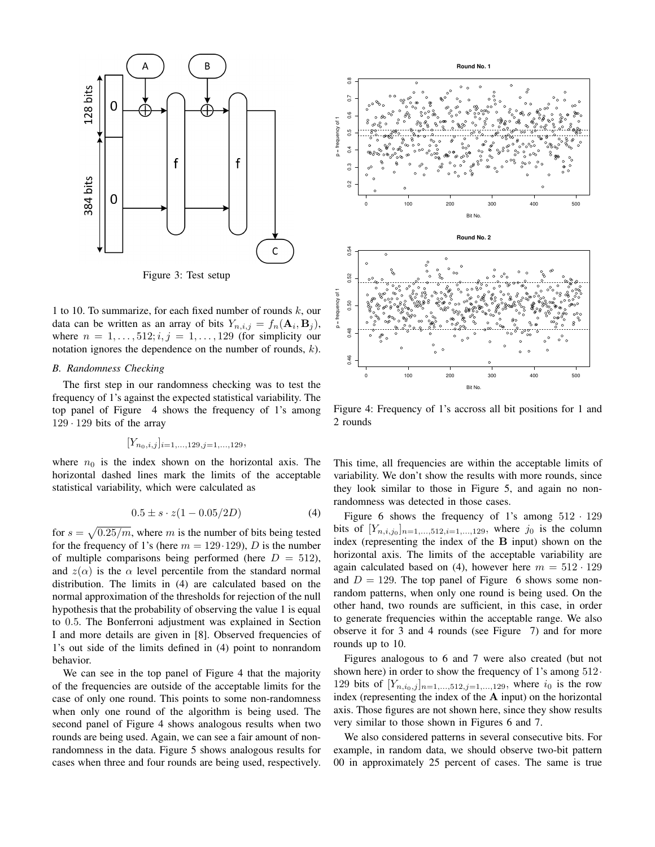

Figure 3: Test setup

1 to 10. To summarize, for each fixed number of rounds  $k$ , our data can be written as an array of bits  $Y_{n,i,j} = f_n(\mathbf{A}_i, \mathbf{B}_j)$ , where  $n = 1, \ldots, 512; i, j = 1, \ldots, 129$  (for simplicity our notation ignores the dependence on the number of rounds,  $k$ ).

#### *B. Randomness Checking*

The first step in our randomness checking was to test the frequency of 1's against the expected statistical variability. The top panel of Figure 4 shows the frequency of 1's among  $129 \cdot 129$  bits of the array

$$
[Y_{n_0,i,j}]_{i=1,\ldots,129,j=1,\ldots,129},
$$

where  $n_0$  is the index shown on the horizontal axis. The horizontal dashed lines mark the limits of the acceptable statistical variability, which were calculated as

$$
0.5 \pm s \cdot z(1 - 0.05/2D) \tag{4}
$$

for  $s = \sqrt{0.25/m}$ , where m is the number of bits being tested for the frequency of 1's (here  $m = 129.129$ ), D is the number of multiple comparisons being performed (here  $D = 512$ ), and  $z(\alpha)$  is the  $\alpha$  level percentile from the standard normal distribution. The limits in (4) are calculated based on the normal approximation of the thresholds for rejection of the null hypothesis that the probability of observing the value 1 is equal to 0.5. The Bonferroni adjustment was explained in Section I and more details are given in [8]. Observed frequencies of 1's out side of the limits defined in (4) point to nonrandom behavior.

We can see in the top panel of Figure 4 that the majority of the frequencies are outside of the acceptable limits for the case of only one round. This points to some non-randomness when only one round of the algorithm is being used. The second panel of Figure 4 shows analogous results when two rounds are being used. Again, we can see a fair amount of nonrandomness in the data. Figure 5 shows analogous results for cases when three and four rounds are being used, respectively.



Figure 4: Frequency of 1's accross all bit positions for 1 and 2 rounds

This time, all frequencies are within the acceptable limits of variability. We don't show the results with more rounds, since they look similar to those in Figure 5, and again no nonrandomness was detected in those cases.

Figure 6 shows the frequency of 1's among  $512 \cdot 129$ bits of  $[Y_{n,i,j_0}]_{n=1,...,512,i=1,...,129}$ , where  $j_0$  is the column index (representing the index of the B input) shown on the horizontal axis. The limits of the acceptable variability are again calculated based on (4), however here  $m = 512 \cdot 129$ and  $D = 129$ . The top panel of Figure 6 shows some nonrandom patterns, when only one round is being used. On the other hand, two rounds are sufficient, in this case, in order to generate frequencies within the acceptable range. We also observe it for 3 and 4 rounds (see Figure 7) and for more rounds up to 10.

Figures analogous to 6 and 7 were also created (but not shown here) in order to show the frequency of 1's among  $512$ . 129 bits of  $[Y_{n,i_0,j}]_{n=1,...,512,j=1,...,129}$ , where  $i_0$  is the row index (representing the index of the A input) on the horizontal axis. Those figures are not shown here, since they show results very similar to those shown in Figures 6 and 7.

We also considered patterns in several consecutive bits. For example, in random data, we should observe two-bit pattern 00 in approximately 25 percent of cases. The same is true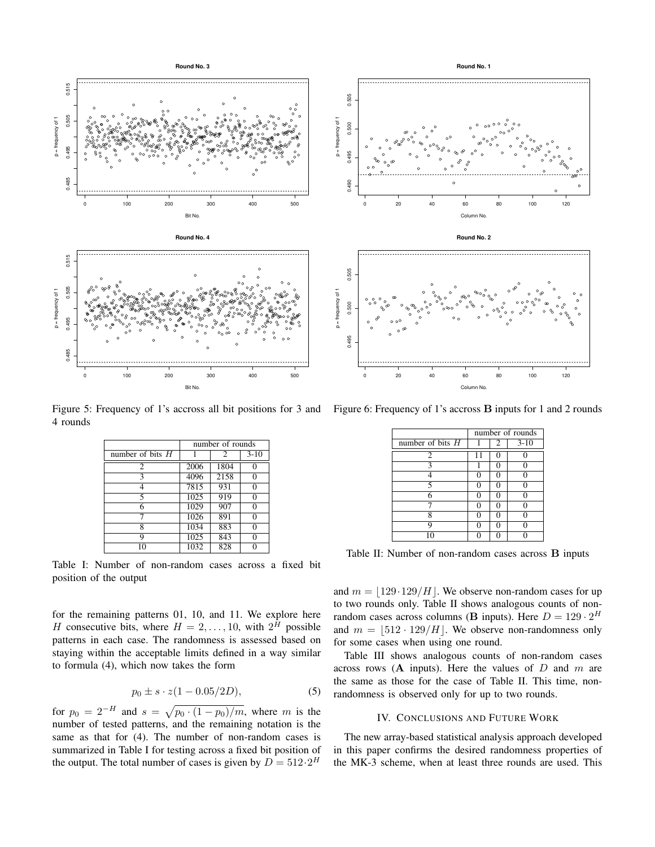

4 rounds

|                    | number of rounds |                |        |  |
|--------------------|------------------|----------------|--------|--|
| number of bits $H$ |                  | $\overline{2}$ | $3-10$ |  |
| $\overline{2}$     | 2006             | 1804           |        |  |
| 3                  | 4096             | 2158           | 0      |  |
|                    | 7815             | 931            | 0      |  |
| 5                  | 1025             | 919            | 0      |  |
| 6                  | 1029             | 907            | 0      |  |
|                    | 1026             | 891            | 0      |  |
| 8                  | 1034             | 883            | 0      |  |
| Q                  | 1025             | 843            | 0      |  |
| 10                 | 1032             | 828            |        |  |

Table I: Number of non-random cases across a fixed bit position of the output

for the remaining patterns 01, 10, and 11. We explore here H consecutive bits, where  $H = 2, \dots, 10$ , with  $2^H$  possible patterns in each case. The randomness is assessed based on staying within the acceptable limits defined in a way similar to formula (4), which now takes the form

$$
p_0 \pm s \cdot z(1 - 0.05/2D), \tag{5}
$$

for  $p_0 = 2^{-H}$  and  $s = \sqrt{p_0 \cdot (1 - p_0)/m}$ , where m is the number of tested patterns, and the remaining notation is the same as that for (4). The number of non-random cases is summarized in Table I for testing across a fixed bit position of the output. The total number of cases is given by  $D = 512 \cdot 2^H$ 

0 20 40 60 80 100 120 Column No.



Figure 5: Frequency of 1's accross all bit positions for 3 and Figure 6: Frequency of 1's accross **B** inputs for 1 and 2 rounds

|                    | number of rounds |          |          |  |
|--------------------|------------------|----------|----------|--|
| number of bits $H$ |                  | 2        | $3-10$   |  |
| $\mathfrak{2}$     | 11               | 0        |          |  |
| 3                  |                  | 0        | 0        |  |
| 4                  | O                | 0        | 0        |  |
| 5                  | 0                | 0        | n        |  |
| 6                  | 0                | 0        | $\Omega$ |  |
|                    | O                | 0        | 0        |  |
| 8                  | 0                | 0        | n        |  |
| Q                  | 0                | $\Omega$ | O        |  |
|                    |                  |          |          |  |

Table II: Number of non-random cases across B inputs

and  $m = |129.129/H|$ . We observe non-random cases for up to two rounds only. Table II shows analogous counts of nonrandom cases across columns (B inputs). Here  $D = 129 \cdot 2^H$ and  $m = |512 \cdot 129/H|$ . We observe non-randomness only for some cases when using one round.

Table III shows analogous counts of non-random cases across rows  $(A \text{ inputs})$ . Here the values of D and m are the same as those for the case of Table II. This time, nonrandomness is observed only for up to two rounds.

### IV. CONCLUSIONS AND FUTURE WORK

The new array-based statistical analysis approach developed in this paper confirms the desired randomness properties of the MK-3 scheme, when at least three rounds are used. This